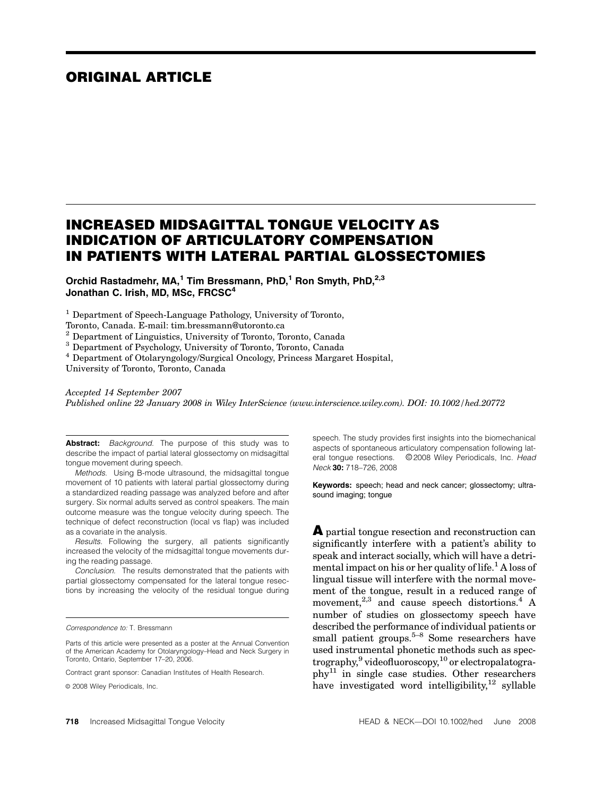## ORIGINAL ARTICLE

# INCREASED MIDSAGITTAL TONGUE VELOCITY AS INDICATION OF ARTICULATORY COMPENSATION IN PATIENTS WITH LATERAL PARTIAL GLOSSECTOMIES

Orchid Rastadmehr, MA, $1$  Tim Bressmann, PhD, $1$  Ron Smyth, PhD, $2,3$ Jonathan C. Irish, MD, MSc, FRCSC4

<sup>1</sup> Department of Speech-Language Pathology, University of Toronto,

Toronto, Canada. E-mail: tim.bressmann@utoronto.ca

<sup>3</sup> Department of Psychology, University of Toronto, Toronto, Canada <sup>4</sup> Department of Otolaryngology/Surgical Oncology, Princess Margaret Hospital,

University of Toronto, Toronto, Canada

Accepted 14 September 2007 Published online 22 January 2008 in Wiley InterScience (www.interscience.wiley.com). DOI: 10.1002/hed.20772

Abstract: Background. The purpose of this study was to describe the impact of partial lateral glossectomy on midsagittal tongue movement during speech.

Methods. Using B-mode ultrasound, the midsagittal tongue movement of 10 patients with lateral partial glossectomy during a standardized reading passage was analyzed before and after surgery. Six normal adults served as control speakers. The main outcome measure was the tongue velocity during speech. The technique of defect reconstruction (local vs flap) was included as a covariate in the analysis.

Results. Following the surgery, all patients significantly increased the velocity of the midsagittal tongue movements during the reading passage.

Conclusion. The results demonstrated that the patients with partial glossectomy compensated for the lateral tongue resections by increasing the velocity of the residual tongue during

Contract grant sponsor: Canadian Institutes of Health Research.

 $©$  2008 Wiley Periodicals, Inc.

speech. The study provides first insights into the biomechanical aspects of spontaneous articulatory compensation following lateral tongue resections. © 2008 Wiley Periodicals, Inc. Head Neck 30: 718–726, 2008

Keywords: speech; head and neck cancer; glossectomy; ultrasound imaging; tongue

**A** partial tongue resection and reconstruction can significantly interfere with a patient's ability to speak and interact socially, which will have a detrimental impact on his or her quality of life.<sup>1</sup> A loss of lingual tissue will interfere with the normal movement of the tongue, result in a reduced range of movement, $2,3$  and cause speech distortions.<sup>4</sup> A number of studies on glossectomy speech have described the performance of individual patients or small patient groups.<sup>5–8</sup> Some researchers have used instrumental phonetic methods such as spectrography,<sup>9</sup> videofluoroscopy,<sup>10</sup> or electropalatography11 in single case studies. Other researchers have investigated word intelligibility, $12$  syllable

Correspondence to: T. Bressmann

Parts of this article were presented as a poster at the Annual Convention of the American Academy for Otolaryngology–Head and Neck Surgery in Toronto, Ontario, September 17–20, 2006.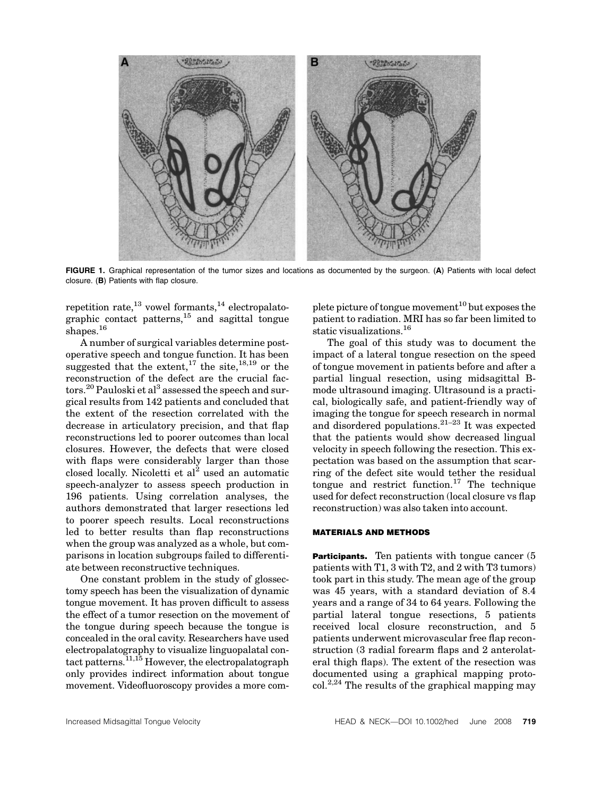

FIGURE 1. Graphical representation of the tumor sizes and locations as documented by the surgeon. (A) Patients with local defect closure. (B) Patients with flap closure.

repetition rate, $^{13}$  vowel formants, $^{14}$  electropalatographic contact patterns, $15$  and sagittal tongue shapes.<sup>16</sup>

A number of surgical variables determine postoperative speech and tongue function. It has been suggested that the extent,  $17$  the site,  $18,19$  or the reconstruction of the defect are the crucial fac- $\cos^{20}$  Pauloski et al<sup>3</sup> assessed the speech and surgical results from 142 patients and concluded that the extent of the resection correlated with the decrease in articulatory precision, and that flap reconstructions led to poorer outcomes than local closures. However, the defects that were closed with flaps were considerably larger than those closed locally. Nicoletti et  $al^2$  used an automatic speech-analyzer to assess speech production in 196 patients. Using correlation analyses, the authors demonstrated that larger resections led to poorer speech results. Local reconstructions led to better results than flap reconstructions when the group was analyzed as a whole, but comparisons in location subgroups failed to differentiate between reconstructive techniques.

One constant problem in the study of glossectomy speech has been the visualization of dynamic tongue movement. It has proven difficult to assess the effect of a tumor resection on the movement of the tongue during speech because the tongue is concealed in the oral cavity. Researchers have used electropalatography to visualize linguopalatal contact patterns.11,15 However, the electropalatograph only provides indirect information about tongue movement. Videofluoroscopy provides a more complete picture of tongue movement<sup>10</sup> but exposes the patient to radiation. MRI has so far been limited to static visualizations.<sup>16</sup>

The goal of this study was to document the impact of a lateral tongue resection on the speed of tongue movement in patients before and after a partial lingual resection, using midsagittal Bmode ultrasound imaging. Ultrasound is a practical, biologically safe, and patient-friendly way of imaging the tongue for speech research in normal and disordered populations.21–23 It was expected that the patients would show decreased lingual velocity in speech following the resection. This expectation was based on the assumption that scarring of the defect site would tether the residual tongue and restrict function.<sup>17</sup> The technique used for defect reconstruction (local closure vs flap reconstruction) was also taken into account.

#### MATERIALS AND METHODS

**Participants.** Ten patients with tongue cancer (5) patients with T1, 3 with T2, and 2 with T3 tumors) took part in this study. The mean age of the group was 45 years, with a standard deviation of 8.4 years and a range of 34 to 64 years. Following the partial lateral tongue resections, 5 patients received local closure reconstruction, and 5 patients underwent microvascular free flap reconstruction (3 radial forearm flaps and 2 anterolateral thigh flaps). The extent of the resection was documented using a graphical mapping proto $col.<sup>2,24</sup>$  The results of the graphical mapping may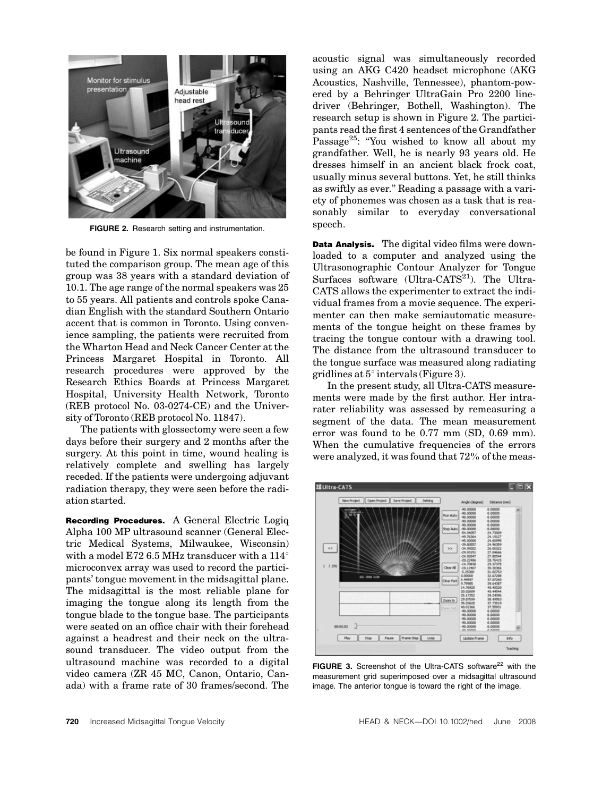

FIGURE 2. Research setting and instrumentation.

be found in Figure 1. Six normal speakers constituted the comparison group. The mean age of this group was 38 years with a standard deviation of 10.1. The age range of the normal speakers was 25 to 55 years. All patients and controls spoke Canadian English with the standard Southern Ontario accent that is common in Toronto. Using convenience sampling, the patients were recruited from the Wharton Head and Neck Cancer Center at the Princess Margaret Hospital in Toronto. All research procedures were approved by the Research Ethics Boards at Princess Margaret Hospital, University Health Network, Toronto (REB protocol No. 03-0274-CE) and the University of Toronto (REB protocol No. 11847).

The patients with glossectomy were seen a few days before their surgery and 2 months after the surgery. At this point in time, wound healing is relatively complete and swelling has largely receded. If the patients were undergoing adjuvant radiation therapy, they were seen before the radiation started.

Recording Procedures. A General Electric Logiq Alpha 100 MP ultrasound scanner (General Electric Medical Systems, Milwaukee, Wisconsin) with a model E72 6.5 MHz transducer with a 114 $^{\circ}$ microconvex array was used to record the participants' tongue movement in the midsagittal plane. The midsagittal is the most reliable plane for imaging the tongue along its length from the tongue blade to the tongue base. The participants were seated on an office chair with their forehead against a headrest and their neck on the ultrasound transducer. The video output from the ultrasound machine was recorded to a digital video camera (ZR 45 MC, Canon, Ontario, Canada) with a frame rate of 30 frames/second. The

acoustic signal was simultaneously recorded using an AKG C420 headset microphone (AKG Acoustics, Nashville, Tennessee), phantom-powered by a Behringer UltraGain Pro 2200 linedriver (Behringer, Bothell, Washington). The research setup is shown in Figure 2. The participants read the first 4 sentences of the Grandfather Passage<sup>25</sup>: "You wished to know all about my grandfather. Well, he is nearly 93 years old. He dresses himself in an ancient black frock coat, usually minus several buttons. Yet, he still thinks as swiftly as ever.'' Reading a passage with a variety of phonemes was chosen as a task that is reasonably similar to everyday conversational speech.

Data Analysis. The digital video films were downloaded to a computer and analyzed using the Ultrasonographic Contour Analyzer for Tongue Surfaces software (Ultra-CATS $^{21}$ ). The Ultra-CATS allows the experimenter to extract the individual frames from a movie sequence. The experimenter can then make semiautomatic measurements of the tongue height on these frames by tracing the tongue contour with a drawing tool. The distance from the ultrasound transducer to the tongue surface was measured along radiating gridlines at  $5^\circ$  intervals (Figure 3).

In the present study, all Ultra-CATS measurements were made by the first author. Her intrarater reliability was assessed by remeasuring a segment of the data. The mean measurement error was found to be 0.77 mm (SD, 0.69 mm). When the cumulative frequencies of the errors were analyzed, it was found that 72% of the meas-



FIGURE 3. Screenshot of the Ultra-CATS software<sup>22</sup> with the measurement grid superimposed over a midsagittal ultrasound image. The anterior tongue is toward the right of the image.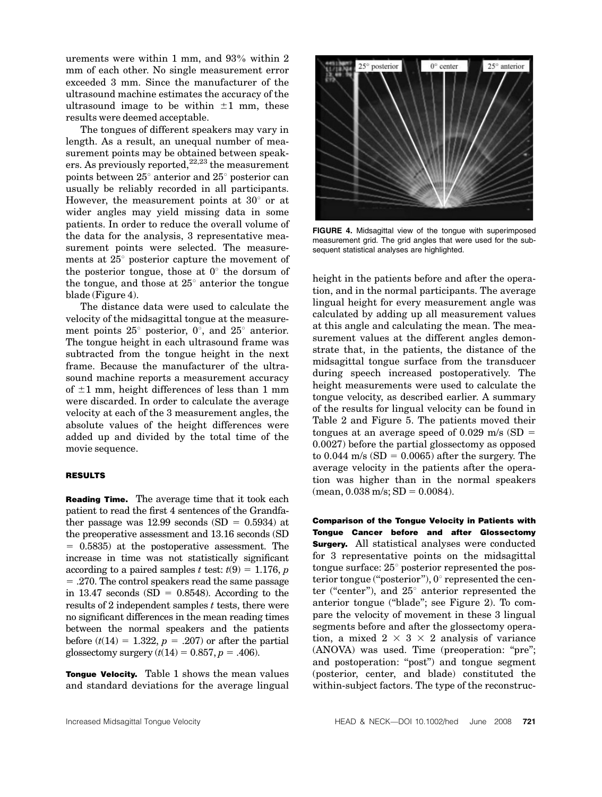urements were within 1 mm, and 93% within 2 mm of each other. No single measurement error exceeded 3 mm. Since the manufacturer of the ultrasound machine estimates the accuracy of the ultrasound image to be within  $\pm 1$  mm, these results were deemed acceptable.

The tongues of different speakers may vary in length. As a result, an unequal number of measurement points may be obtained between speakers. As previously reported,  $22,23$  the measurement points between  $25^{\circ}$  anterior and  $25^{\circ}$  posterior can usually be reliably recorded in all participants. However, the measurement points at  $30^{\circ}$  or at wider angles may yield missing data in some patients. In order to reduce the overall volume of the data for the analysis, 3 representative measurement points were selected. The measurements at  $25^{\circ}$  posterior capture the movement of the posterior tongue, those at  $0^{\circ}$  the dorsum of the tongue, and those at  $25^{\circ}$  anterior the tongue blade (Figure 4).

The distance data were used to calculate the velocity of the midsagittal tongue at the measurement points  $25^{\circ}$  posterior,  $0^{\circ}$ , and  $25^{\circ}$  anterior. The tongue height in each ultrasound frame was subtracted from the tongue height in the next frame. Because the manufacturer of the ultrasound machine reports a measurement accuracy of  $\pm 1$  mm, height differences of less than 1 mm were discarded. In order to calculate the average velocity at each of the 3 measurement angles, the absolute values of the height differences were added up and divided by the total time of the movie sequence.

#### RESULTS

Reading Time. The average time that it took each patient to read the first 4 sentences of the Grandfather passage was  $12.99$  seconds  $(SD = 0.5934)$  at the preoperative assessment and 13.16 seconds (SD  $= 0.5835$  at the postoperative assessment. The increase in time was not statistically significant according to a paired samples t test:  $t(9) = 1.176$ , p  $= .270$ . The control speakers read the same passage in 13.47 seconds  $(SD = 0.8548)$ . According to the results of 2 independent samples  $t$  tests, there were no significant differences in the mean reading times between the normal speakers and the patients before  $(t(14) = 1.322, p = .207)$  or after the partial glossectomy surgery  $(t(14) = 0.857, p = .406)$ .

**Tongue Velocity.** Table 1 shows the mean values and standard deviations for the average lingual



FIGURE 4. Midsagittal view of the tongue with superimposed measurement grid. The grid angles that were used for the subsequent statistical analyses are highlighted.

height in the patients before and after the operation, and in the normal participants. The average lingual height for every measurement angle was calculated by adding up all measurement values at this angle and calculating the mean. The measurement values at the different angles demonstrate that, in the patients, the distance of the midsagittal tongue surface from the transducer during speech increased postoperatively. The height measurements were used to calculate the tongue velocity, as described earlier. A summary of the results for lingual velocity can be found in Table 2 and Figure 5. The patients moved their tongues at an average speed of 0.029 m/s (SD  $=$ 0.0027) before the partial glossectomy as opposed to  $0.044$  m/s (SD =  $0.0065$ ) after the surgery. The average velocity in the patients after the operation was higher than in the normal speakers  $(\text{mean}, 0.038 \text{ m/s}; SD = 0.0084).$ 

Comparison of the Tongue Velocity in Patients with Tongue Cancer before and after Glossectomy **Surgery.** All statistical analyses were conducted for 3 representative points on the midsagittal tongue surface:  $25^{\circ}$  posterior represented the posterior tongue ("posterior"),  $0^{\circ}$  represented the center ("center"), and  $25^{\circ}$  anterior represented the anterior tongue (''blade''; see Figure 2). To compare the velocity of movement in these 3 lingual segments before and after the glossectomy operation, a mixed  $2 \times 3 \times 2$  analysis of variance (ANOVA) was used. Time (preoperation: ''pre''; and postoperation: "post") and tongue segment (posterior, center, and blade) constituted the within-subject factors. The type of the reconstruc-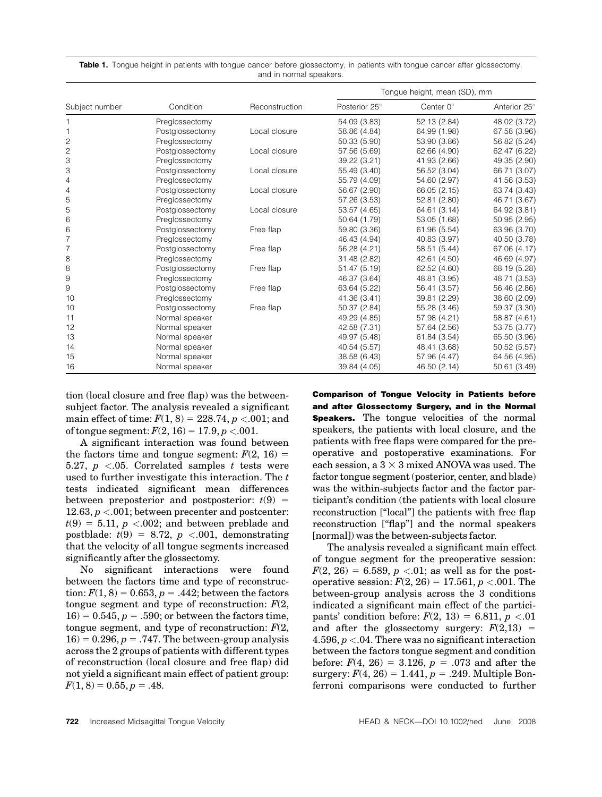| Subject number | Condition       | Reconstruction | Tongue height, mean (SD), mm |              |              |
|----------------|-----------------|----------------|------------------------------|--------------|--------------|
|                |                 |                | Posterior 25°                | Center 0°    | Anterior 25° |
| 1              | Preglossectomy  |                | 54.09 (3.83)                 | 52.13 (2.84) | 48.02 (3.72) |
| 1              | Postglossectomy | Local closure  | 58.86 (4.84)                 | 64.99 (1.98) | 67.58 (3.96) |
| $\mathbf{2}$   | Preglossectomy  |                | 50.33 (5.90)                 | 53.90 (3.86) | 56.82 (5.24) |
| $\mathbf{2}$   | Postglossectomy | Local closure  | 57.56 (5.69)                 | 62.66 (4.90) | 62.47 (6.22) |
| 3              | Preglossectomy  |                | 39.22 (3.21)                 | 41.93 (2.66) | 49.35 (2.90) |
| 3              | Postglossectomy | Local closure  | 55.49 (3.40)                 | 56.52 (3.04) | 66.71 (3.07) |
| 4              | Preglossectomy  |                | 55.79 (4.09)                 | 54.60 (2.97) | 41.56 (3.53) |
| 4              | Postglossectomy | Local closure  | 56.67 (2.90)                 | 66.05 (2.15) | 63.74 (3.43) |
| 5              | Preglossectomy  |                | 57.26 (3.53)                 | 52.81 (2.80) | 46.71 (3.67) |
| 5              | Postglossectomy | Local closure  | 53.57 (4.65)                 | 64.61 (3.14) | 64.92 (3.81) |
| 6              | Preglossectomy  |                | 50.64 (1.79)                 | 53.05 (1.68) | 50.95 (2.95) |
| 6              | Postglossectomy | Free flap      | 59.80 (3.36)                 | 61.96 (5.54) | 63.96 (3.70) |
| $\overline{7}$ | Preglossectomy  |                | 46.43 (4.94)                 | 40.83 (3.97) | 40.50 (3.78) |
| 7              | Postglossectomy | Free flap      | 56.28 (4.21)                 | 58.51 (5.44) | 67.06 (4.17) |
| 8              | Preglossectomy  |                | 31.48 (2.82)                 | 42.61 (4.50) | 46.69 (4.97) |
| 8              | Postglossectomy | Free flap      | 51.47 (5.19)                 | 62.52 (4.60) | 68.19 (5.28) |
| 9              | Preglossectomy  |                | 46.37 (3.64)                 | 48.81 (3.95) | 48.71 (3.53) |
| 9              | Postglossectomy | Free flap      | 63.64 (5.22)                 | 56.41 (3.57) | 56.46 (2.86) |
| 10             | Preglossectomy  |                | 41.36 (3.41)                 | 39.81 (2.29) | 38.60 (2.09) |
| 10             | Postglossectomy | Free flap      | 50.37 (2.84)                 | 55.28 (3.46) | 59.37 (3.30) |
| 11             | Normal speaker  |                | 49.29 (4.85)                 | 57.98 (4.21) | 58.87 (4.61) |
| 12             | Normal speaker  |                | 42.58 (7.31)                 | 57.64 (2.56) | 53.75 (3.77) |
| 13             | Normal speaker  |                | 49.97 (5.48)                 | 61.84 (3.54) | 65.50 (3.96) |
| 14             | Normal speaker  |                | 40.54 (5.57)                 | 48.41 (3.68) | 50.52 (5.57) |
| 15             | Normal speaker  |                | 38.58 (6.43)                 | 57.96 (4.47) | 64.56 (4.95) |
| 16             | Normal speaker  |                | 39.84 (4.05)                 | 46.50 (2.14) | 50.61 (3.49) |

Table 1. Tongue height in patients with tongue cancer before glossectomy, in patients with tongue cancer after glossectomy, and in normal speakers.

tion (local closure and free flap) was the betweensubject factor. The analysis revealed a significant main effect of time:  $F(1, 8) = 228.74$ ,  $p < .001$ ; and of tongue segment:  $F(2, 16) = 17.9, p < .001$ .

A significant interaction was found between the factors time and tongue segment:  $F(2, 16) =$ 5.27,  $p \lt 0.05$ . Correlated samples t tests were used to further investigate this interaction. The  $t$ tests indicated significant mean differences between preposterior and postposterior:  $t(9) =$ 12.63,  $p < 0.001$ ; between precenter and postcenter:  $t(9) = 5.11$ ,  $p < .002$ ; and between preblade and postblade:  $t(9) = 8.72$ ,  $p < .001$ , demonstrating that the velocity of all tongue segments increased significantly after the glossectomy.

No significant interactions were found between the factors time and type of reconstruction:  $F(1, 8) = 0.653, p = .442$ ; between the factors tongue segment and type of reconstruction:  $F(2)$ ,  $16 = 0.545$ ,  $p = .590$ ; or between the factors time, tongue segment, and type of reconstruction:  $F(2)$ ,  $16 = 0.296, p = .747$ . The between-group analysis across the 2 groups of patients with different types of reconstruction (local closure and free flap) did not yield a significant main effect of patient group:  $F(1, 8) = 0.55, p = .48.$ 

Comparison of Tongue Velocity in Patients before and after Glossectomy Surgery, and in the Normal **Speakers.** The tongue velocities of the normal speakers, the patients with local closure, and the patients with free flaps were compared for the preoperative and postoperative examinations. For each session, a  $3 \times 3$  mixed ANOVA was used. The factor tongue segment (posterior, center, and blade) was the within-subjects factor and the factor participant's condition (the patients with local closure reconstruction [''local''] the patients with free flap reconstruction ["flap"] and the normal speakers [normal]) was the between-subjects factor.

The analysis revealed a significant main effect of tongue segment for the preoperative session:  $F(2, 26) = 6.589, p < 0.01$ ; as well as for the postoperative session:  $F(2, 26) = 17.561$ ,  $p < .001$ . The between-group analysis across the 3 conditions indicated a significant main effect of the participants' condition before:  $F(2, 13) = 6.811$ ,  $p < 01$ and after the glossectomy surgery:  $F(2,13) =$ 4.596,  $p < 0$ 4. There was no significant interaction between the factors tongue segment and condition before:  $F(4, 26) = 3.126$ ,  $p = .073$  and after the surgery:  $F(4, 26) = 1.441$ ,  $p = .249$ . Multiple Bonferroni comparisons were conducted to further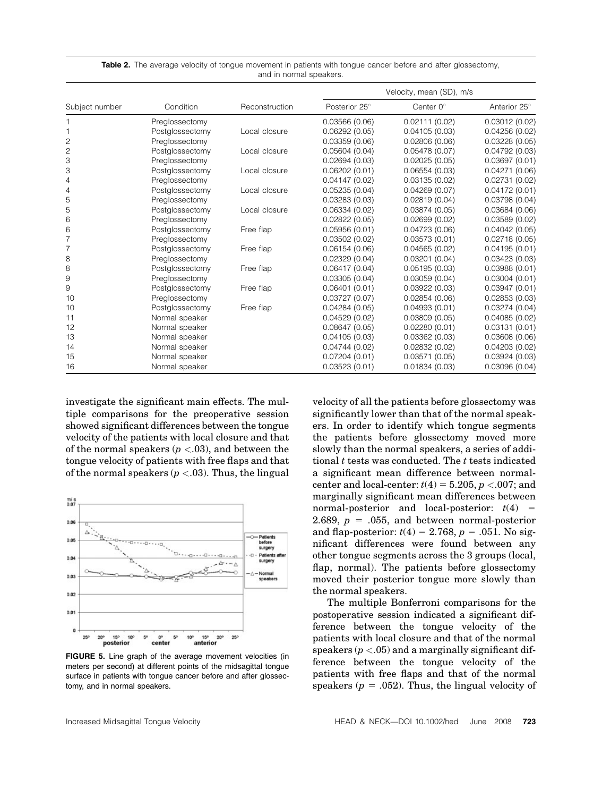|                | Condition       | Reconstruction | Velocity, mean (SD), m/s |               |               |
|----------------|-----------------|----------------|--------------------------|---------------|---------------|
| Subject number |                 |                | Posterior 25°            | Center 0°     | Anterior 25°  |
|                | Preglossectomy  |                | 0.03566(0.06)            | 0.02111(0.02) | 0.03012(0.02) |
| 1              | Postglossectomy | Local closure  | 0.06292(0.05)            | 0.04105(0.03) | 0.04256(0.02) |
| $\mathbf{2}$   | Preglossectomy  |                | 0.03359(0.06)            | 0.02806(0.06) | 0.03228(0.05) |
| $\mathbf{2}$   | Postglossectomy | Local closure  | 0.05604(0.04)            | 0.05478(0.07) | 0.04792(0.03) |
| 3              | Preglossectomy  |                | 0.02694(0.03)            | 0.02025(0.05) | 0.03697(0.01) |
| 3              | Postglossectomy | Local closure  | 0.06202(0.01)            | 0.06554(0.03) | 0.04271(0.06) |
| 4              | Preglossectomy  |                | 0.04147(0.02)            | 0.03135(0.02) | 0.02731(0.02) |
| 4              | Postglossectomy | Local closure  | 0.05235(0.04)            | 0.04269(0.07) | 0.04172(0.01) |
| 5              | Preglossectomy  |                | 0.03283(0.03)            | 0.02819(0.04) | 0.03798(0.04) |
| 5              | Postglossectomy | Local closure  | 0.06334(0.02)            | 0.03874(0.05) | 0.03684(0.06) |
| 6              | Preglossectomy  |                | 0.02822(0.05)            | 0.02699(0.02) | 0.03589(0.02) |
| 6              | Postglossectomy | Free flap      | 0.05956(0.01)            | 0.04723(0.06) | 0.04042(0.05) |
| $\overline{7}$ | Preglossectomy  |                | 0.03502(0.02)            | 0.03573(0.01) | 0.02718(0.05) |
| $\overline{7}$ | Postglossectomy | Free flap      | 0.06154(0.06)            | 0.04565(0.02) | 0.04195(0.01) |
| 8              | Preglossectomy  |                | 0.02329(0.04)            | 0.03201(0.04) | 0.03423(0.03) |
| 8              | Postglossectomy | Free flap      | 0.06417(0.04)            | 0.05195(0.03) | 0.03988(0.01) |
| 9              | Preglossectomy  |                | 0.03305(0.04)            | 0.03059(0.04) | 0.03004(0.01) |
| 9              | Postglossectomy | Free flap      | 0.06401(0.01)            | 0.03922(0.03) | 0.03947(0.01) |
| 10             | Preglossectomy  |                | 0.03727(0.07)            | 0.02854(0.06) | 0.02853(0.03) |
| 10             | Postglossectomy | Free flap      | 0.04284(0.05)            | 0.04993(0.01) | 0.03274(0.04) |
| 11             | Normal speaker  |                | 0.04529(0.02)            | 0.03809(0.05) | 0.04085(0.02) |
| 12             | Normal speaker  |                | 0.08647(0.05)            | 0.02280(0.01) | 0.03131(0.01) |
| 13             | Normal speaker  |                | 0.04105(0.03)            | 0.03362(0.03) | 0.03608(0.06) |
| 14             | Normal speaker  |                | 0.04744(0.02)            | 0.02832(0.02) | 0.04203(0.02) |
| 15             | Normal speaker  |                | 0.07204(0.01)            | 0.03571(0.05) | 0.03924(0.03) |
| 16             | Normal speaker  |                | 0.03523(0.01)            | 0.01834(0.03) | 0.03096(0.04) |

Table 2. The average velocity of tongue movement in patients with tongue cancer before and after glossectomy, and in normal speakers.

investigate the significant main effects. The multiple comparisons for the preoperative session showed significant differences between the tongue velocity of the patients with local closure and that of the normal speakers  $(p < .03)$ , and between the tongue velocity of patients with free flaps and that of the normal speakers  $(p < .03)$ . Thus, the lingual



FIGURE 5. Line graph of the average movement velocities (in meters per second) at different points of the midsagittal tongue surface in patients with tongue cancer before and after glossectomy, and in normal speakers.

velocity of all the patients before glossectomy was significantly lower than that of the normal speakers. In order to identify which tongue segments the patients before glossectomy moved more slowly than the normal speakers, a series of additional  $t$  tests was conducted. The  $t$  tests indicated a significant mean difference between normalcenter and local-center:  $t(4) = 5.205$ ,  $p < .007$ ; and marginally significant mean differences between normal-posterior and local-posterior:  $t(4) =$ 2.689,  $p = .055$ , and between normal-posterior and flap-posterior:  $t(4) = 2.768$ ,  $p = .051$ . No significant differences were found between any other tongue segments across the 3 groups (local, flap, normal). The patients before glossectomy moved their posterior tongue more slowly than the normal speakers.

The multiple Bonferroni comparisons for the postoperative session indicated a significant difference between the tongue velocity of the patients with local closure and that of the normal speakers  $(p < .05)$  and a marginally significant difference between the tongue velocity of the patients with free flaps and that of the normal speakers ( $p = .052$ ). Thus, the lingual velocity of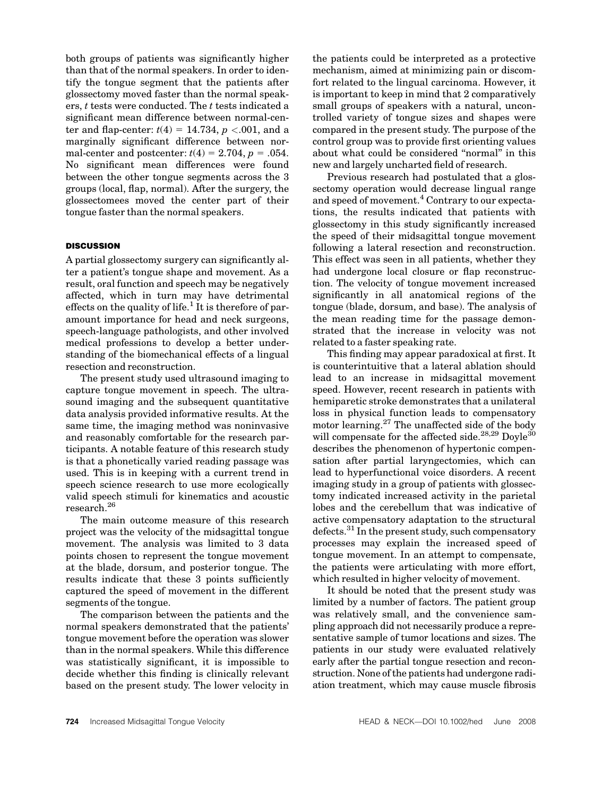both groups of patients was significantly higher than that of the normal speakers. In order to identify the tongue segment that the patients after glossectomy moved faster than the normal speakers, t tests were conducted. The t tests indicated a significant mean difference between normal-center and flap-center:  $t(4) = 14.734$ ,  $p < .001$ , and a marginally significant difference between normal-center and postcenter:  $t(4) = 2.704$ ,  $p = .054$ . No significant mean differences were found between the other tongue segments across the 3 groups (local, flap, normal). After the surgery, the glossectomees moved the center part of their tongue faster than the normal speakers.

### **DISCUSSION**

A partial glossectomy surgery can significantly alter a patient's tongue shape and movement. As a result, oral function and speech may be negatively affected, which in turn may have detrimental effects on the quality of life.<sup>1</sup> It is therefore of paramount importance for head and neck surgeons, speech-language pathologists, and other involved medical professions to develop a better understanding of the biomechanical effects of a lingual resection and reconstruction.

The present study used ultrasound imaging to capture tongue movement in speech. The ultrasound imaging and the subsequent quantitative data analysis provided informative results. At the same time, the imaging method was noninvasive and reasonably comfortable for the research participants. A notable feature of this research study is that a phonetically varied reading passage was used. This is in keeping with a current trend in speech science research to use more ecologically valid speech stimuli for kinematics and acoustic research.<sup>26</sup>

The main outcome measure of this research project was the velocity of the midsagittal tongue movement. The analysis was limited to 3 data points chosen to represent the tongue movement at the blade, dorsum, and posterior tongue. The results indicate that these 3 points sufficiently captured the speed of movement in the different segments of the tongue.

The comparison between the patients and the normal speakers demonstrated that the patients' tongue movement before the operation was slower than in the normal speakers. While this difference was statistically significant, it is impossible to decide whether this finding is clinically relevant based on the present study. The lower velocity in

the patients could be interpreted as a protective mechanism, aimed at minimizing pain or discomfort related to the lingual carcinoma. However, it is important to keep in mind that 2 comparatively small groups of speakers with a natural, uncontrolled variety of tongue sizes and shapes were compared in the present study. The purpose of the control group was to provide first orienting values about what could be considered "normal" in this new and largely uncharted field of research.

Previous research had postulated that a glossectomy operation would decrease lingual range and speed of movement.<sup>4</sup> Contrary to our expectations, the results indicated that patients with glossectomy in this study significantly increased the speed of their midsagittal tongue movement following a lateral resection and reconstruction. This effect was seen in all patients, whether they had undergone local closure or flap reconstruction. The velocity of tongue movement increased significantly in all anatomical regions of the tongue (blade, dorsum, and base). The analysis of the mean reading time for the passage demonstrated that the increase in velocity was not related to a faster speaking rate.

This finding may appear paradoxical at first. It is counterintuitive that a lateral ablation should lead to an increase in midsagittal movement speed. However, recent research in patients with hemiparetic stroke demonstrates that a unilateral loss in physical function leads to compensatory motor learning.27 The unaffected side of the body will compensate for the affected side.<sup>28,29</sup> Doyle<sup>30</sup> describes the phenomenon of hypertonic compensation after partial laryngectomies, which can lead to hyperfunctional voice disorders. A recent imaging study in a group of patients with glossectomy indicated increased activity in the parietal lobes and the cerebellum that was indicative of active compensatory adaptation to the structural defects.<sup>31</sup> In the present study, such compensatory processes may explain the increased speed of tongue movement. In an attempt to compensate, the patients were articulating with more effort, which resulted in higher velocity of movement.

It should be noted that the present study was limited by a number of factors. The patient group was relatively small, and the convenience sampling approach did not necessarily produce a representative sample of tumor locations and sizes. The patients in our study were evaluated relatively early after the partial tongue resection and reconstruction. None of the patients had undergone radiation treatment, which may cause muscle fibrosis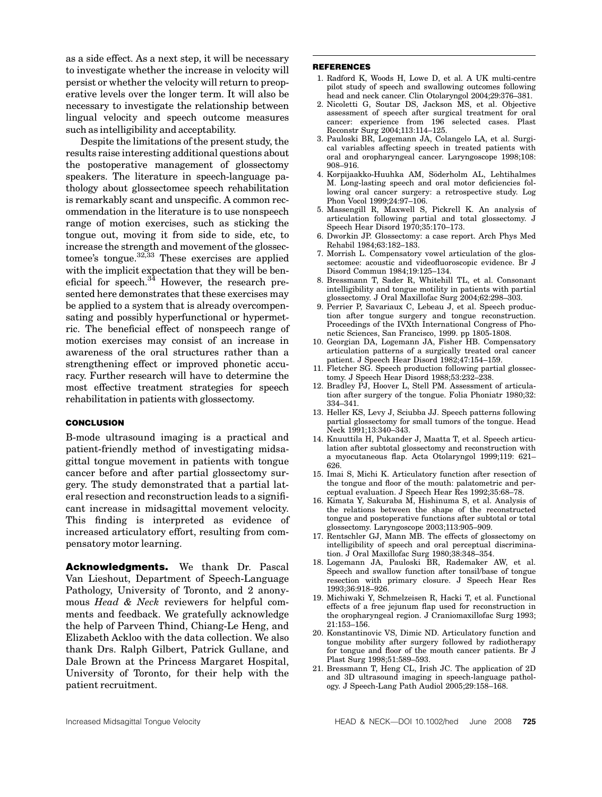as a side effect. As a next step, it will be necessary to investigate whether the increase in velocity will persist or whether the velocity will return to preoperative levels over the longer term. It will also be necessary to investigate the relationship between lingual velocity and speech outcome measures such as intelligibility and acceptability.

Despite the limitations of the present study, the results raise interesting additional questions about the postoperative management of glossectomy speakers. The literature in speech-language pathology about glossectomee speech rehabilitation is remarkably scant and unspecific. A common recommendation in the literature is to use nonspeech range of motion exercises, such as sticking the tongue out, moving it from side to side, etc, to increase the strength and movement of the glossectomee's tongue.<sup>32,33</sup> These exercises are applied with the implicit expectation that they will be beneficial for speech.<sup>34</sup> However, the research presented here demonstrates that these exercises may be applied to a system that is already overcompensating and possibly hyperfunctional or hypermetric. The beneficial effect of nonspeech range of motion exercises may consist of an increase in awareness of the oral structures rather than a strengthening effect or improved phonetic accuracy. Further research will have to determine the most effective treatment strategies for speech rehabilitation in patients with glossectomy.

### **CONCLUSION**

B-mode ultrasound imaging is a practical and patient-friendly method of investigating midsagittal tongue movement in patients with tongue cancer before and after partial glossectomy surgery. The study demonstrated that a partial lateral resection and reconstruction leads to a significant increase in midsagittal movement velocity. This finding is interpreted as evidence of increased articulatory effort, resulting from compensatory motor learning.

**Acknowledgments.** We thank Dr. Pascal Van Lieshout, Department of Speech-Language Pathology, University of Toronto, and 2 anonymous Head & Neck reviewers for helpful comments and feedback. We gratefully acknowledge the help of Parveen Thind, Chiang-Le Heng, and Elizabeth Ackloo with the data collection. We also thank Drs. Ralph Gilbert, Patrick Gullane, and Dale Brown at the Princess Margaret Hospital, University of Toronto, for their help with the patient recruitment.

#### REFERENCES

- 1. Radford K, Woods H, Lowe D, et al. A UK multi-centre pilot study of speech and swallowing outcomes following head and neck cancer. Clin Otolaryngol 2004;29:376–381.
- 2. Nicoletti G, Soutar DS, Jackson MS, et al. Objective assessment of speech after surgical treatment for oral cancer: experience from 196 selected cases. Plast Reconstr Surg 2004;113:114–125.
- 3. Pauloski BR, Logemann JA, Colangelo LA, et al. Surgical variables affecting speech in treated patients with oral and oropharyngeal cancer. Laryngoscope 1998;108: 908–916.
- 4. Korpijaakko-Huuhka AM, Söderholm AL, Lehtihalmes M. Long-lasting speech and oral motor deficiencies following oral cancer surgery: a retrospective study. Log Phon Vocol 1999;24:97–106.
- 5. Massengill R, Maxwell S, Pickrell K. An analysis of articulation following partial and total glossectomy. J Speech Hear Disord 1970;35:170–173.
- 6. Dworkin JP. Glossectomy: a case report. Arch Phys Med Rehabil 1984;63:182–183.
- 7. Morrish L. Compensatory vowel articulation of the glossectomee: acoustic and videofluoroscopic evidence. Br J Disord Commun 1984;19:125–134.
- 8. Bressmann T, Sader R, Whitehill TL, et al. Consonant intelligibility and tongue motility in patients with partial glossectomy. J Oral Maxillofac Surg 2004;62:298–303.
- 9. Perrier P, Savariaux C, Lebeau J, et al. Speech production after tongue surgery and tongue reconstruction. Proceedings of the IVXth International Congress of Phonetic Sciences, San Francisco, 1999. pp 1805-1808.
- 10. Georgian DA, Logemann JA, Fisher HB. Compensatory articulation patterns of a surgically treated oral cancer patient. J Speech Hear Disord 1982;47:154–159.
- 11. Fletcher SG. Speech production following partial glossectomy. J Speech Hear Disord 1988;53:232–238.
- 12. Bradley PJ, Hoover L, Stell PM. Assessment of articulation after surgery of the tongue. Folia Phoniatr 1980;32: 334–341.
- 13. Heller KS, Levy J, Sciubba JJ. Speech patterns following partial glossectomy for small tumors of the tongue. Head Neck 1991;13:340–343.
- 14. Knuuttila H, Pukander J, Maatta T, et al. Speech articulation after subtotal glossectomy and reconstruction with a myocutaneous flap. Acta Otolaryngol 1999;119: 621– 626.
- 15. Imai S, Michi K. Articulatory function after resection of the tongue and floor of the mouth: palatometric and perceptual evaluation. J Speech Hear Res 1992;35:68–78.
- 16. Kimata Y, Sakuraba M, Hishinuma S, et al. Analysis of the relations between the shape of the reconstructed tongue and postoperative functions after subtotal or total glossectomy. Laryngoscope 2003;113:905–909.
- 17. Rentschler GJ, Mann MB. The effects of glossectomy on intelligibility of speech and oral perceptual discrimination. J Oral Maxillofac Surg 1980;38:348–354.
- 18. Logemann JA, Pauloski BR, Rademaker AW, et al. Speech and swallow function after tonsil/base of tongue resection with primary closure. J Speech Hear Res 1993;36:918–926.
- 19. Michiwaki Y, Schmelzeisen R, Hacki T, et al. Functional effects of a free jejunum flap used for reconstruction in the oropharyngeal region. J Craniomaxillofac Surg 1993; 21:153–156.
- 20. Konstantinovic VS, Dimic ND. Articulatory function and tongue mobility after surgery followed by radiotherapy for tongue and floor of the mouth cancer patients. Br J Plast Surg 1998;51:589–593.
- 21. Bressmann T, Heng CL, Irish JC. The application of 2D and 3D ultrasound imaging in speech-language pathology. J Speech-Lang Path Audiol 2005;29:158–168.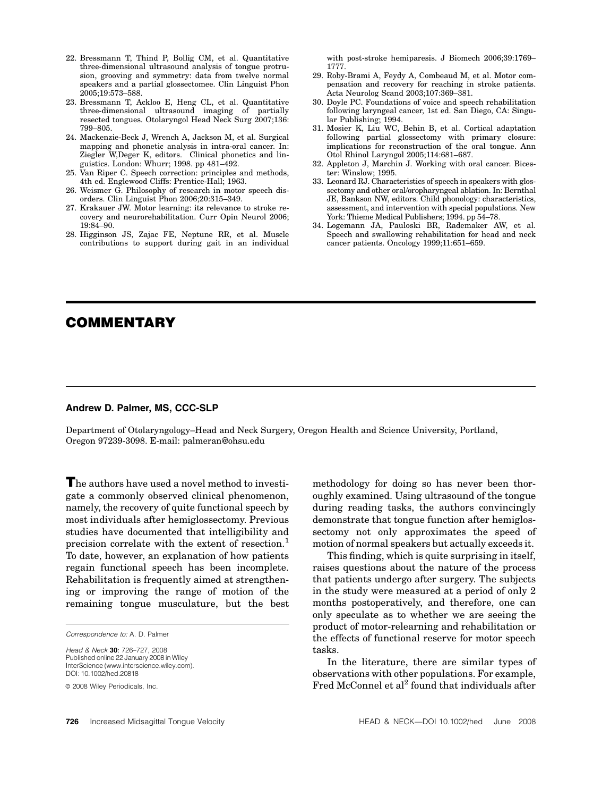- 22. Bressmann T, Thind P, Bollig CM, et al. Quantitative three-dimensional ultrasound analysis of tongue protrusion, grooving and symmetry: data from twelve normal speakers and a partial glossectomee. Clin Linguist Phon 2005;19:573–588.
- 23. Bressmann T, Ackloo E, Heng CL, et al. Quantitative three-dimensional ultrasound imaging of partially resected tongues. Otolaryngol Head Neck Surg 2007;136: 799–805.
- 24. Mackenzie-Beck J, Wrench A, Jackson M, et al. Surgical mapping and phonetic analysis in intra-oral cancer. In: Ziegler W,Deger K, editors. Clinical phonetics and linguistics. London: Whurr; 1998. pp 481–492.
- 25. Van Riper C. Speech correction: principles and methods, 4th ed. Englewood Cliffs: Prentice-Hall; 1963.
- 26. Weismer G. Philosophy of research in motor speech disorders. Clin Linguist Phon 2006;20:315–349.
- 27. Krakauer JW. Motor learning: its relevance to stroke recovery and neurorehabilitation. Curr Opin Neurol 2006; 19:84–90.
- 28. Higginson JS, Zajac FE, Neptune RR, et al. Muscle contributions to support during gait in an individual

with post-stroke hemiparesis. J Biomech 2006;39:1769– 1777.

- 29. Roby-Brami A, Feydy A, Combeaud M, et al. Motor compensation and recovery for reaching in stroke patients. Acta Neurolog Scand 2003;107:369–381.
- 30. Doyle PC. Foundations of voice and speech rehabilitation following laryngeal cancer, 1st ed. San Diego, CA: Singular Publishing; 1994.
- 31. Mosier K, Liu WC, Behin B, et al. Cortical adaptation following partial glossectomy with primary closure: implications for reconstruction of the oral tongue. Ann Otol Rhinol Laryngol 2005;114:681–687.
- 32. Appleton J, Marchin J. Working with oral cancer. Bicester: Winslow; 1995.
- 33. Leonard RJ. Characteristics of speech in speakers with glossectomy and other oral/oropharyngeal ablation. In: Bernthal JE, Bankson NW, editors. Child phonology: characteristics, assessment, and intervention with special populations. New York: Thieme Medical Publishers; 1994. pp 54-78.
- 34. Logemann JA, Pauloski BR, Rademaker AW, et al. Speech and swallowing rehabilitation for head and neck cancer patients. Oncology 1999;11:651–659.

## COMMENTARY

## Andrew D. Palmer, MS, CCC-SLP

Department of Otolaryngology–Head and Neck Surgery, Oregon Health and Science University, Portland, Oregon 97239-3098. E-mail: palmeran@ohsu.edu

The authors have used a novel method to investigate a commonly observed clinical phenomenon, namely, the recovery of quite functional speech by most individuals after hemiglossectomy. Previous studies have documented that intelligibility and precision correlate with the extent of resection.<sup>1</sup> To date, however, an explanation of how patients regain functional speech has been incomplete. Rehabilitation is frequently aimed at strengthening or improving the range of motion of the remaining tongue musculature, but the best

Correspondence to: A. D. Palmer

© 2008 Wiley Periodicals, Inc.

methodology for doing so has never been thoroughly examined. Using ultrasound of the tongue during reading tasks, the authors convincingly demonstrate that tongue function after hemiglossectomy not only approximates the speed of motion of normal speakers but actually exceeds it.

This finding, which is quite surprising in itself, raises questions about the nature of the process that patients undergo after surgery. The subjects in the study were measured at a period of only 2 months postoperatively, and therefore, one can only speculate as to whether we are seeing the product of motor-relearning and rehabilitation or the effects of functional reserve for motor speech tasks.

In the literature, there are similar types of observations with other populations. For example, Fred McConnel et al<sup>2</sup> found that individuals after

Head & Neck 30: 726-727, 2008 Published online 22 January 2008 in Wiley InterScience (www.interscience.wiley.com). DOI: 10.1002/hed.20818